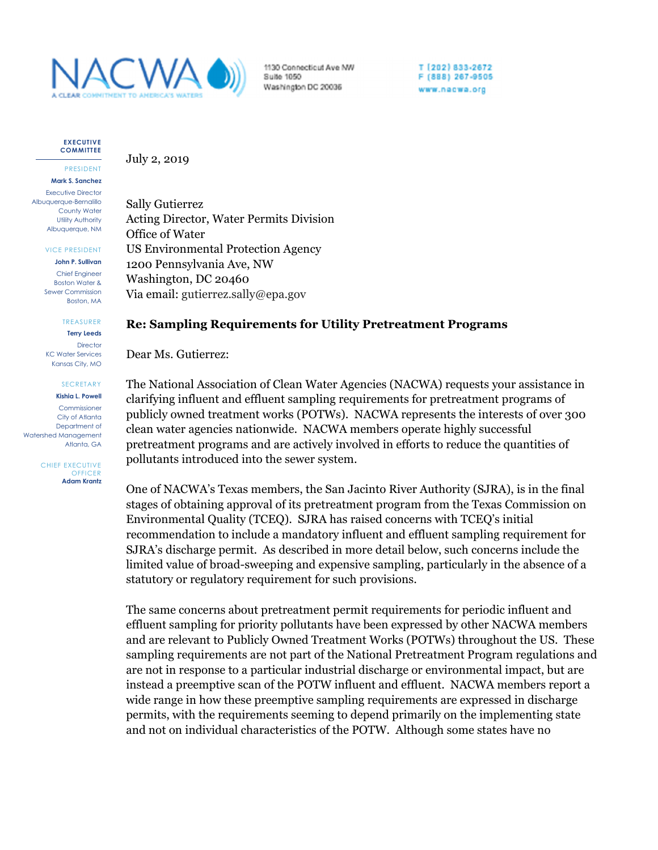

1130 Connecticut Ave NW Suite 1050 Washington DC 20036

T [202] 833-2672 F (888) 267-9505 www.nacwa.org

**EXECUTIVE COMMITTEE**

PRESIDENT **Mark S. Sanchez** Executive Director Albuquerque-Bernalillo County Water Utility Authority Albuquerque, NM

VICE PRESIDENT

**John P. Sullivan** Chief Engineer Boston Water & Sewer Commission Boston, MA

> TREASURER **Terry Leeds**

**Director** KC Water Services Kansas City, MO

## SECRETARY

**Kishia L. Powell**

Commissioner City of Atlanta Department of Watershed Management Atlanta, GA

> CHIEF EXECUTIVE **OFFICER Adam Krantz**

July 2, 2019

Sally Gutierrez Acting Director, Water Permits Division Office of Water US Environmental Protection Agency 1200 Pennsylvania Ave, NW Washington, DC 20460 Via email: gutierrez.sally@epa.gov

## **Re: Sampling Requirements for Utility Pretreatment Programs**

Dear Ms. Gutierrez:

The National Association of Clean Water Agencies (NACWA) requests your assistance in clarifying influent and effluent sampling requirements for pretreatment programs of publicly owned treatment works (POTWs). NACWA represents the interests of over 300 clean water agencies nationwide. NACWA members operate highly successful pretreatment programs and are actively involved in efforts to reduce the quantities of pollutants introduced into the sewer system.

One of NACWA's Texas members, the San Jacinto River Authority (SJRA), is in the final stages of obtaining approval of its pretreatment program from the Texas Commission on Environmental Quality (TCEQ). SJRA has raised concerns with TCEQ's initial recommendation to include a mandatory influent and effluent sampling requirement for SJRA's discharge permit. As described in more detail below, such concerns include the limited value of broad-sweeping and expensive sampling, particularly in the absence of a statutory or regulatory requirement for such provisions.

The same concerns about pretreatment permit requirements for periodic influent and effluent sampling for priority pollutants have been expressed by other NACWA members and are relevant to Publicly Owned Treatment Works (POTWs) throughout the US. These sampling requirements are not part of the National Pretreatment Program regulations and are not in response to a particular industrial discharge or environmental impact, but are instead a preemptive scan of the POTW influent and effluent. NACWA members report a wide range in how these preemptive sampling requirements are expressed in discharge permits, with the requirements seeming to depend primarily on the implementing state and not on individual characteristics of the POTW. Although some states have no